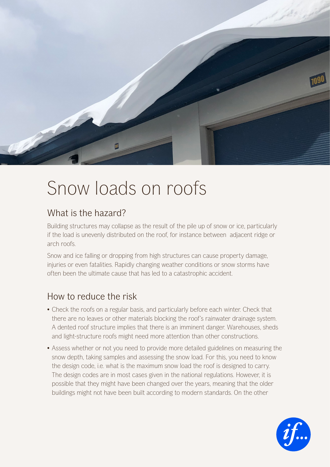

## Snow loads on roofs

## What is the hazard?

Building structures may collapse as the result of the pile up of snow or ice, particularly if the load is unevenly distributed on the roof, for instance between adjacent ridge or arch roofs.

Snow and ice falling or dropping from high structures can cause property damage, injuries or even fatalities. Rapidly changing weather conditions or snow storms have often been the ultimate cause that has led to a catastrophic accident.

## How to reduce the risk

- Check the roofs on a regular basis, and particularly before each winter. Check that there are no leaves or other materials blocking the roof's rainwater drainage system. A dented roof structure implies that there is an imminent danger. Warehouses, sheds and light-structure roofs might need more attention than other constructions.
- Assess whether or not you need to provide more detailed guidelines on measuring the snow depth, taking samples and assessing the snow load. For this, you need to know the design code, i.e. what is the maximum snow load the roof is designed to carry. The design codes are in most cases given in the national regulations. However, it is possible that they might have been changed over the years, meaning that the older buildings might not have been built according to modern standards. On the other